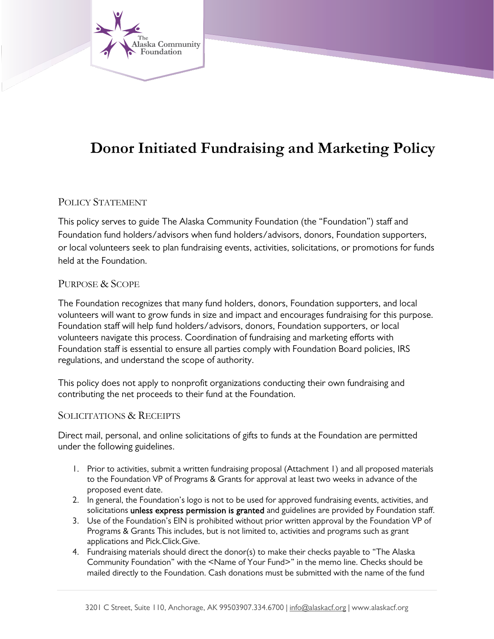

# **Donor Initiated Fundraising and Marketing Policy**

## POLICY STATEMENT

This policy serves to guide The Alaska Community Foundation (the "Foundation") staff and Foundation fund holders/advisors when fund holders/advisors, donors, Foundation supporters, or local volunteers seek to plan fundraising events, activities, solicitations, or promotions for funds held at the Foundation.

#### PURPOSE & SCOPE

The Foundation recognizes that many fund holders, donors, Foundation supporters, and local volunteers will want to grow funds in size and impact and encourages fundraising for this purpose. Foundation staff will help fund holders/advisors, donors, Foundation supporters, or local volunteers navigate this process. Coordination of fundraising and marketing efforts with Foundation staff is essential to ensure all parties comply with Foundation Board policies, IRS regulations, and understand the scope of authority.

This policy does not apply to nonprofit organizations conducting their own fundraising and contributing the net proceeds to their fund at the Foundation.

#### SOLICITATIONS & RECEIPTS

Direct mail, personal, and online solicitations of gifts to funds at the Foundation are permitted under the following guidelines.

- 1. Prior to activities, submit a written fundraising proposal (Attachment 1) and all proposed materials to the Foundation VP of Programs & Grants for approval at least two weeks in advance of the proposed event date.
- 2. In general, the Foundation's logo is not to be used for approved fundraising events, activities, and solicitations unless express permission is granted and guidelines are provided by Foundation staff.
- 3. Use of the Foundation's EIN is prohibited without prior written approval by the Foundation VP of Programs & Grants This includes, but is not limited to, activities and programs such as grant applications and Pick.Click.Give.
- 4. Fundraising materials should direct the donor(s) to make their checks payable to "The Alaska Community Foundation" with the <Name of Your Fund>" in the memo line. Checks should be mailed directly to the Foundation. Cash donations must be submitted with the name of the fund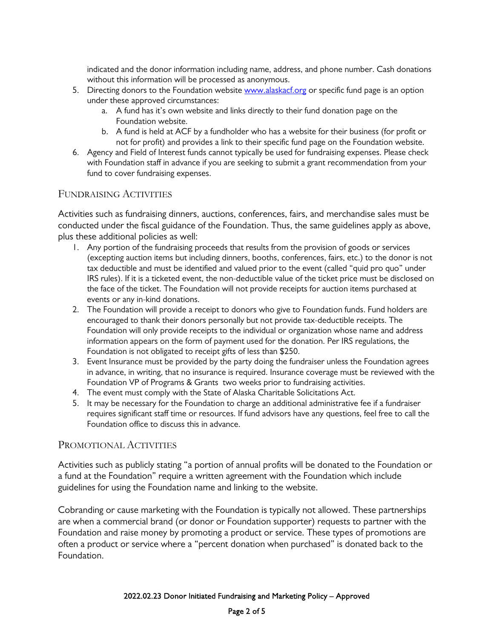indicated and the donor information including name, address, and phone number. Cash donations without this information will be processed as anonymous.

- 5. Directing donors to the Foundation website [www.alaskacf.org](http://www.alaskacf.org/) or specific fund page is an option under these approved circumstances:
	- a. A fund has it's own website and links directly to their fund donation page on the Foundation website.
	- b. A fund is held at ACF by a fundholder who has a website for their business (for profit or not for profit) and provides a link to their specific fund page on the Foundation website.
- 6. Agency and Field of Interest funds cannot typically be used for fundraising expenses. Please check with Foundation staff in advance if you are seeking to submit a grant recommendation from your fund to cover fundraising expenses.

#### FUNDRAISING ACTIVITIES

Activities such as fundraising dinners, auctions, conferences, fairs, and merchandise sales must be conducted under the fiscal guidance of the Foundation. Thus, the same guidelines apply as above, plus these additional policies as well:

- 1. Any portion of the fundraising proceeds that results from the provision of goods or services (excepting auction items but including dinners, booths, conferences, fairs, etc.) to the donor is not tax deductible and must be identified and valued prior to the event (called "quid pro quo" under IRS rules). If it is a ticketed event, the non-deductible value of the ticket price must be disclosed on the face of the ticket. The Foundation will not provide receipts for auction items purchased at events or any in-kind donations.
- 2. The Foundation will provide a receipt to donors who give to Foundation funds. Fund holders are encouraged to thank their donors personally but not provide tax-deductible receipts. The Foundation will only provide receipts to the individual or organization whose name and address information appears on the form of payment used for the donation. Per IRS regulations, the Foundation is not obligated to receipt gifts of less than \$250.
- 3. Event Insurance must be provided by the party doing the fundraiser unless the Foundation agrees in advance, in writing, that no insurance is required. Insurance coverage must be reviewed with the Foundation VP of Programs & Grants two weeks prior to fundraising activities.
- 4. The event must comply with the State of Alaska Charitable Solicitations Act.
- 5. It may be necessary for the Foundation to charge an additional administrative fee if a fundraiser requires significant staff time or resources. If fund advisors have any questions, feel free to call the Foundation office to discuss this in advance.

#### PROMOTIONAL ACTIVITIES

Activities such as publicly stating "a portion of annual profits will be donated to the Foundation or a fund at the Foundation" require a written agreement with the Foundation which include guidelines for using the Foundation name and linking to the website.

Cobranding or cause marketing with the Foundation is typically not allowed. These partnerships are when a commercial brand (or donor or Foundation supporter) requests to partner with the Foundation and raise money by promoting a product or service. These types of promotions are often a product or service where a "percent donation when purchased" is donated back to the Foundation.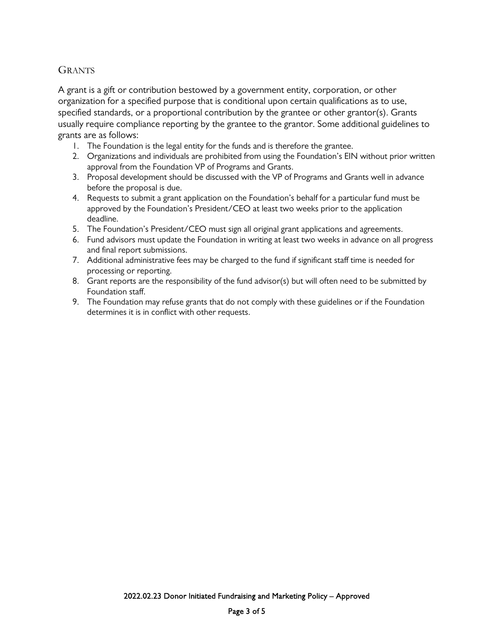### **GRANTS**

A grant is a gift or contribution bestowed by a government entity, corporation, or other organization for a specified purpose that is conditional upon certain qualifications as to use, specified standards, or a proportional contribution by the grantee or other grantor(s). Grants usually require compliance reporting by the grantee to the grantor. Some additional guidelines to grants are as follows:

- 1. The Foundation is the legal entity for the funds and is therefore the grantee.
- 2. Organizations and individuals are prohibited from using the Foundation's EIN without prior written approval from the Foundation VP of Programs and Grants.
- 3. Proposal development should be discussed with the VP of Programs and Grants well in advance before the proposal is due.
- 4. Requests to submit a grant application on the Foundation's behalf for a particular fund must be approved by the Foundation's President/CEO at least two weeks prior to the application deadline.
- 5. The Foundation's President/CEO must sign all original grant applications and agreements.
- 6. Fund advisors must update the Foundation in writing at least two weeks in advance on all progress and final report submissions.
- 7. Additional administrative fees may be charged to the fund if significant staff time is needed for processing or reporting.
- 8. Grant reports are the responsibility of the fund advisor(s) but will often need to be submitted by Foundation staff.
- 9. The Foundation may refuse grants that do not comply with these guidelines or if the Foundation determines it is in conflict with other requests.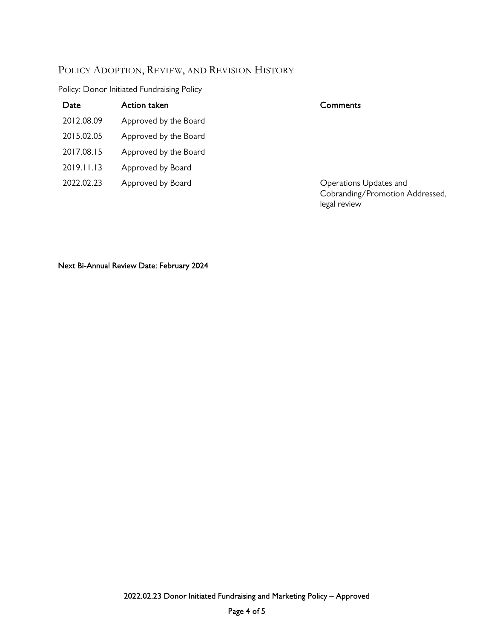## POLICY ADOPTION, REVIEW, AND REVISION HISTORY

### Policy: Donor Initiated Fundraising Policy

| Date       | Action taken          | Comments                                                                  |
|------------|-----------------------|---------------------------------------------------------------------------|
| 2012.08.09 | Approved by the Board |                                                                           |
| 2015.02.05 | Approved by the Board |                                                                           |
| 2017.08.15 | Approved by the Board |                                                                           |
| 2019.11.13 | Approved by Board     |                                                                           |
| 2022.02.23 | Approved by Board     | Operations Updates and<br>Cobranding/Promotion Addressed,<br>legal review |
|            |                       |                                                                           |
|            |                       |                                                                           |

Next Bi-Annual Review Date: February 2024